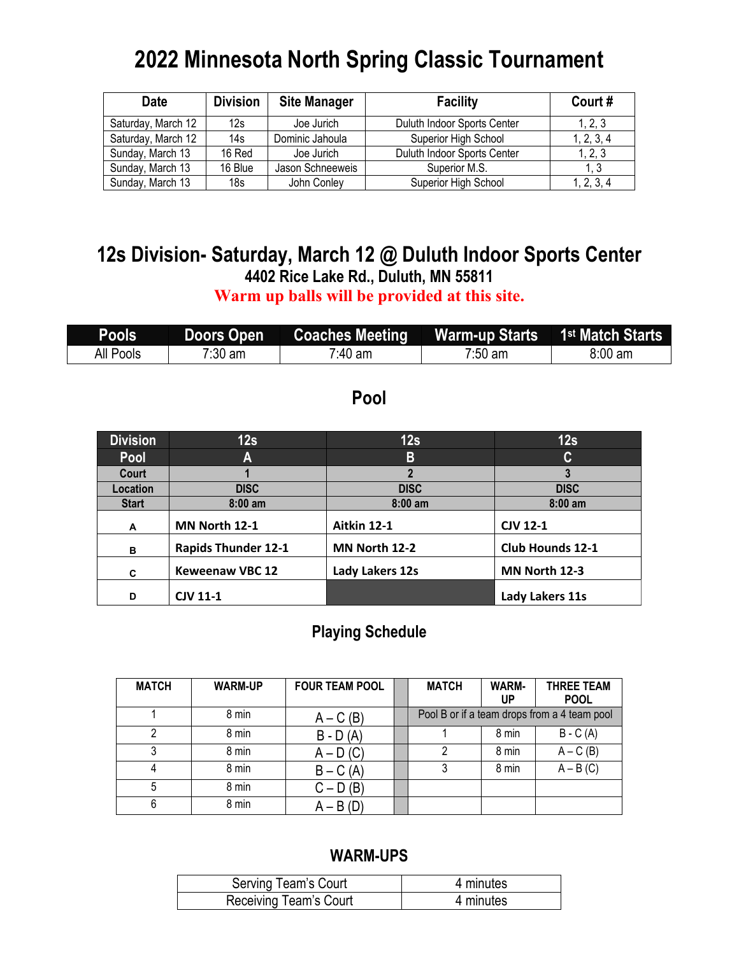# **2022 Minnesota North Spring Classic Tournament**

| <b>Date</b>        | <b>Division</b> | <b>Site Manager</b> | <b>Facility</b>             |            |
|--------------------|-----------------|---------------------|-----------------------------|------------|
| Saturday, March 12 | 12s             | Joe Jurich          | Duluth Indoor Sports Center | 1, 2, 3    |
| Saturday, March 12 | 14s             | Dominic Jahoula     | Superior High School        | 1, 2, 3, 4 |
| Sunday, March 13   | 16 Red          | Joe Jurich          | Duluth Indoor Sports Center | 1, 2, 3    |
| Sunday, March 13   | 16 Blue         | Jason Schneeweis    | Superior M.S.               | 1.3        |
| Sunday, March 13   | 18 <sub>s</sub> | John Conley         | Superior High School        | 1, 2, 3, 4 |

# **12s Division- Saturday, March 12 @ Duluth Indoor Sports Center 4402 Rice Lake Rd., Duluth, MN 55811**

**Warm up balls will be provided at this site.**

| Pools <sup>'</sup> | Doors Open | Coaches Meeting Marm-up Starts 1 <sup>st</sup> Match Starts |           |                   |
|--------------------|------------|-------------------------------------------------------------|-----------|-------------------|
| All Pools          | 7:30 am    | 7:40 am                                                     | $7:50$ am | $8:00 \text{ am}$ |

### **Pool**

| <b>Division</b> | 12s                        | 12s             | 12s                     |
|-----------------|----------------------------|-----------------|-------------------------|
| Pool            | A                          | B               | C                       |
| Court           |                            | າ               | 3                       |
| Location        | <b>DISC</b>                | <b>DISC</b>     | <b>DISC</b>             |
| <b>Start</b>    | $8:00$ am                  | $8:00$ am       | $8:00$ am               |
| A               | MN North 12-1              | Aitkin 12-1     | <b>CJV 12-1</b>         |
| в               | <b>Rapids Thunder 12-1</b> | MN North 12-2   | <b>Club Hounds 12-1</b> |
| C               | <b>Keweenaw VBC 12</b>     | Lady Lakers 12s | MN North 12-3           |
| D               | <b>CJV 11-1</b>            |                 | Lady Lakers 11s         |

#### **Playing Schedule**

| <b>MATCH</b> | <b>WARM-UP</b> | <b>FOUR TEAM POOL</b> | <b>MATCH</b> | WARM-<br>UP | <b>THREE TEAM</b><br><b>POOL</b>             |
|--------------|----------------|-----------------------|--------------|-------------|----------------------------------------------|
|              | 8 min          | $A - C(B)$            |              |             | Pool B or if a team drops from a 4 team pool |
|              | 8 min          | $B - D(A)$            |              | 8 min       | $B - C(A)$                                   |
|              | 8 min          | $A - D(C)$            | 2            | 8 min       | $A - C(B)$                                   |
| 4            | 8 min          | $B - C(A)$            |              | 8 min       | $A - B(C)$                                   |
| 5            | 8 min          | $C - D(B)$            |              |             |                                              |
| 6            | 8 min          | $A - B(D)$            |              |             |                                              |

| Serving Team's Court   | 4 minutes |
|------------------------|-----------|
| Receiving Team's Court | 4 minutes |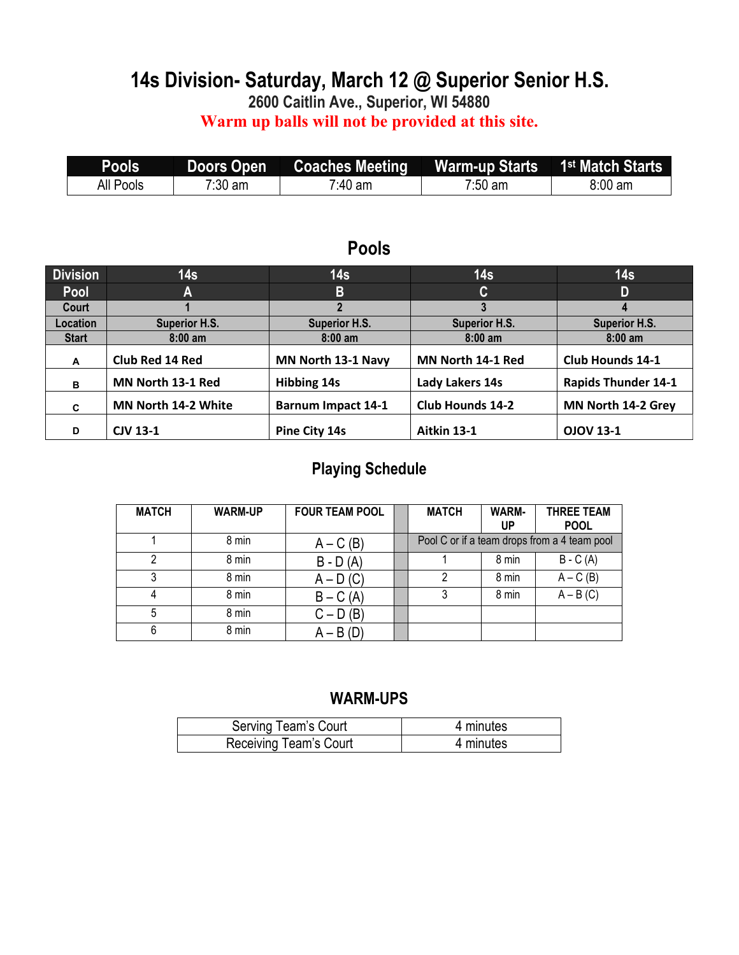# **14s Division- Saturday, March 12 @ Superior Senior H.S.**

**2600 Caitlin Ave., Superior, WI 54880**

**Warm up balls will not be provided at this site.**

| Pools            | <b>Doors Open</b> | <b>Coaches Meeting</b> | Warm-up Starts 1 <sup>st</sup> Match Starts |         |
|------------------|-------------------|------------------------|---------------------------------------------|---------|
| <b>All Pools</b> | $7:30$ am         | $7.40$ am              | $7:50$ am                                   | 8:00 am |

#### **Pools**

| <b>Division</b> | 14 <sub>s</sub>      | 14 <sub>s</sub>           | 14s                     | 14 <sub>s</sub>            |
|-----------------|----------------------|---------------------------|-------------------------|----------------------------|
| Pool            | A                    | B                         | C                       | D                          |
| Court           |                      |                           |                         |                            |
| Location        | <b>Superior H.S.</b> | <b>Superior H.S.</b>      | <b>Superior H.S.</b>    | <b>Superior H.S.</b>       |
| <b>Start</b>    | $8:00$ am            | $8:00$ am                 | $8:00$ am               | $8:00$ am                  |
| A               | Club Red 14 Red      | MN North 13-1 Navy        | MN North 14-1 Red       | <b>Club Hounds 14-1</b>    |
| B               | MN North 13-1 Red    | <b>Hibbing 14s</b>        | Lady Lakers 14s         | <b>Rapids Thunder 14-1</b> |
| C               | MN North 14-2 White  | <b>Barnum Impact 14-1</b> | <b>Club Hounds 14-2</b> | MN North 14-2 Grey         |
| D               | <b>CJV 13-1</b>      | Pine City 14s             | Aitkin 13-1             | <b>OJOV 13-1</b>           |

### **Playing Schedule**

| <b>MATCH</b> | <b>WARM-UP</b> | <b>FOUR TEAM POOL</b> | <b>MATCH</b> | WARM-<br>UP | <b>THREE TEAM</b><br><b>POOL</b>             |
|--------------|----------------|-----------------------|--------------|-------------|----------------------------------------------|
|              | 8 min          | $A - C(B)$            |              |             | Pool C or if a team drops from a 4 team pool |
|              | 8 min          | $B - D(A)$            |              | 8 min       | $B - C(A)$                                   |
|              | 8 min          | $A - D(C)$            |              | 8 min       | $A - C(B)$                                   |
|              | 8 min          | $B - C(A)$            |              | 8 min       | $A - B(C)$                                   |
| 5            | 8 min          | $C - D(B)$            |              |             |                                              |
| 6            | 8 min          | $A - B(D)$            |              |             |                                              |

| Serving Team's Court   | 4 minutes |
|------------------------|-----------|
| Receiving Team's Court | 4 minutes |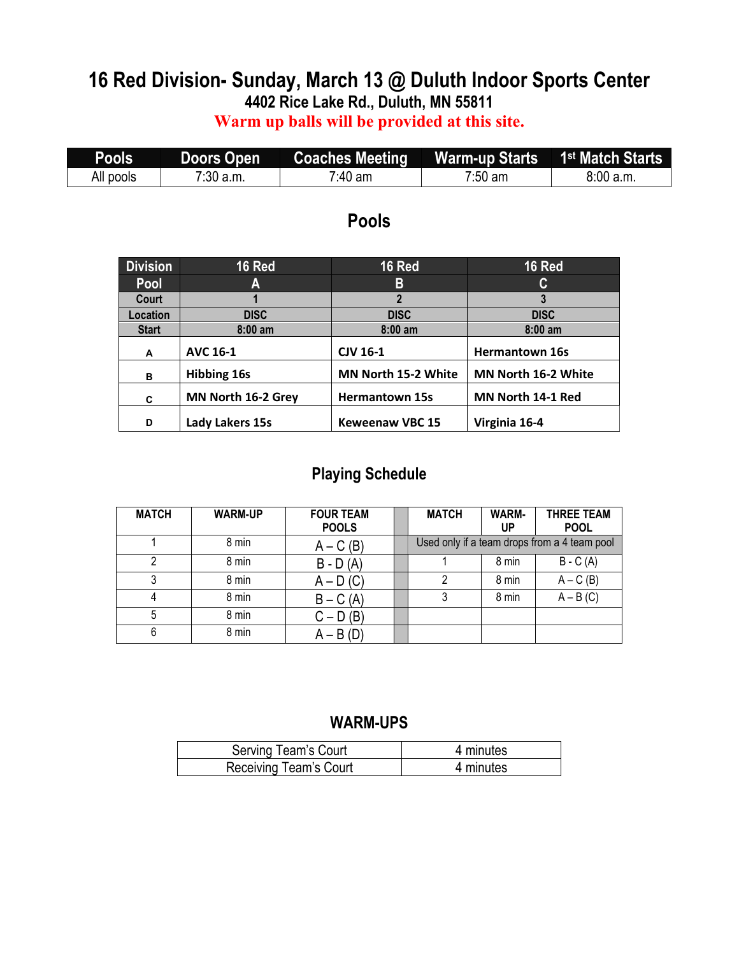# **16 Red Division- Sunday, March 13 @ Duluth Indoor Sports Center 4402 Rice Lake Rd., Duluth, MN 55811**

#### **Warm up balls will be provided at this site.**

| Pools     | Doors Open  | Coaches Meeting     | <b>Warm-up Starts</b> | 1 <sup>st</sup> Match Starts |
|-----------|-------------|---------------------|-----------------------|------------------------------|
| All pools | $7:30$ a.m. | <sup>7:</sup> 40 am | $7:50$ am             | 8:00 a.m.                    |

### **Pools**

| <b>Division</b> | 16 Red             | <b>16 Red</b>          | 16 Red                |
|-----------------|--------------------|------------------------|-----------------------|
| Pool            | A                  | B                      | C                     |
| Court           |                    | $\mathbf{2}$           |                       |
| Location        | <b>DISC</b>        | <b>DISC</b>            | <b>DISC</b>           |
| <b>Start</b>    | $8:00$ am          | $8:00$ am              | $8:00$ am             |
| A               | <b>AVC 16-1</b>    | <b>CJV 16-1</b>        | <b>Hermantown 16s</b> |
| в               | <b>Hibbing 16s</b> | MN North 15-2 White    | MN North 16-2 White   |
| C               | MN North 16-2 Grey | <b>Hermantown 15s</b>  | MN North 14-1 Red     |
| D               | Lady Lakers 15s    | <b>Keweenaw VBC 15</b> | Virginia 16-4         |

#### **Playing Schedule**

| <b>MATCH</b> | <b>WARM-UP</b> | <b>FOUR TEAM</b><br><b>POOLS</b> | <b>MATCH</b> | <b>WARM-</b><br>UP | <b>THREE TEAM</b><br><b>POOL</b>             |
|--------------|----------------|----------------------------------|--------------|--------------------|----------------------------------------------|
|              | 8 min          | $A - C(B)$                       |              |                    | Used only if a team drops from a 4 team pool |
| າ            | 8 min          | $B - D(A)$                       |              | 8 min              | $B - C(A)$                                   |
|              | 8 min          | $A - D(C)$                       |              | 8 min              | $A - C(B)$                                   |
|              | 8 min          | $B - C(A)$                       | 3            | 8 min              | $A - B(C)$                                   |
| 5            | 8 min          | $C - D(B)$                       |              |                    |                                              |
| 6            | 8 min          | $A - B(D)$                       |              |                    |                                              |

| Serving Team's Court   | 4 minutes |
|------------------------|-----------|
| Receiving Team's Court | 4 minutes |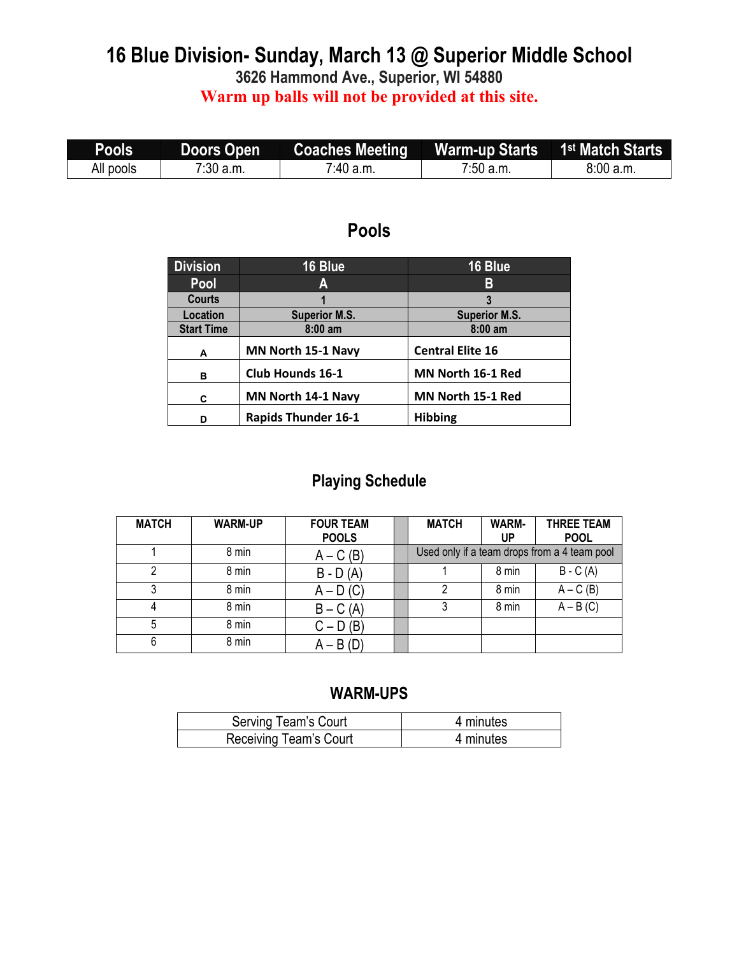### **16 Blue Division- Sunday, March 13 @ Superior Middle School 3626 Hammond Ave., Superior, WI 54880 Warm up balls will not be provided at this site.**

| Pools     | <b>Doors Open</b> |                       |           |          |
|-----------|-------------------|-----------------------|-----------|----------|
| All pools | $7:30$ a.m.       | <sup>7</sup> :40 a.m. | 7:50 a.m. | 8:00a.m. |

### **Pools**

| <b>Division</b>   | 16 Blue                    | 16 Blue                 |
|-------------------|----------------------------|-------------------------|
| Pool              | A                          | В                       |
| <b>Courts</b>     |                            |                         |
| Location          | <b>Superior M.S.</b>       | <b>Superior M.S.</b>    |
| <b>Start Time</b> | $8:00$ am                  | $8:00$ am               |
| A                 | MN North 15-1 Navy         | <b>Central Elite 16</b> |
| в                 | <b>Club Hounds 16-1</b>    | MN North 16-1 Red       |
| C                 | MN North 14-1 Navy         | MN North 15-1 Red       |
| D                 | <b>Rapids Thunder 16-1</b> | <b>Hibbing</b>          |

### **Playing Schedule**

| <b>MATCH</b> | <b>WARM-UP</b> | <b>FOUR TEAM</b><br><b>POOLS</b> | <b>MATCH</b> | WARM-<br>UP | <b>THREE TEAM</b><br><b>POOL</b>             |
|--------------|----------------|----------------------------------|--------------|-------------|----------------------------------------------|
|              | 8 min          | $A - C(B)$                       |              |             | Used only if a team drops from a 4 team pool |
|              | 8 min          | $B - D(A)$                       |              | 8 min       | $B - C(A)$                                   |
| 3            | 8 min          | $A - D(C)$                       | 2            | 8 min       | $A - C(B)$                                   |
| 4            | 8 min          | $B - C(A)$                       | 3            | 8 min       | $A - B(C)$                                   |
| 5            | 8 min          | $C - D(B)$                       |              |             |                                              |
| 6            | 8 min          | $A - B(D)$                       |              |             |                                              |

| Serving Team's Court   | 4 minutes |
|------------------------|-----------|
| Receiving Team's Court | 4 minutes |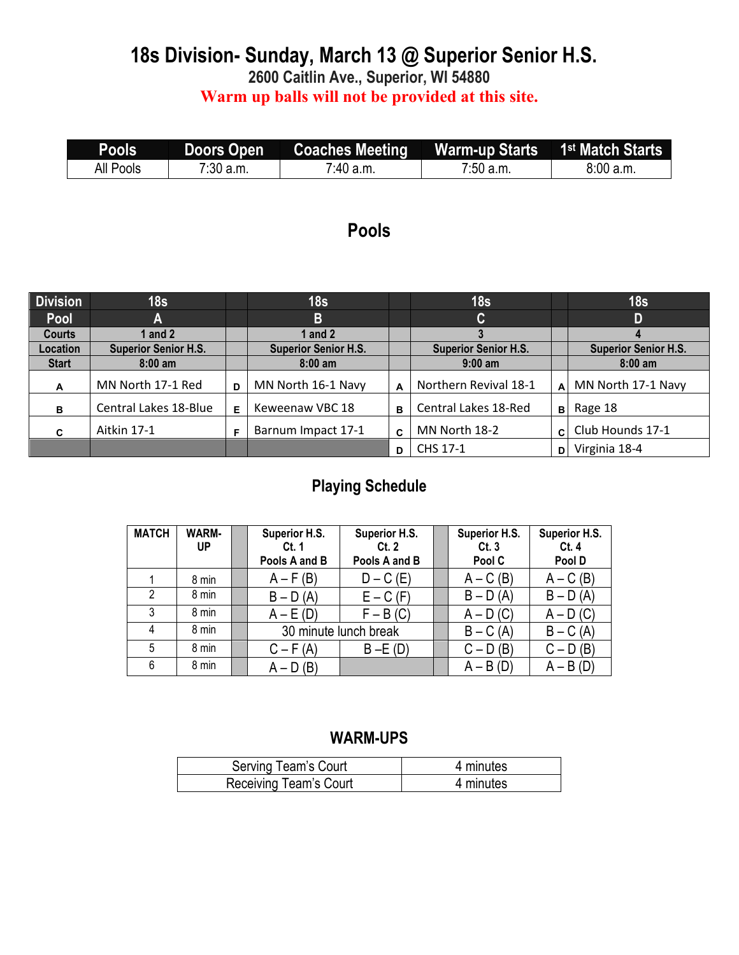### **18s Division- Sunday, March 13 @ Superior Senior H.S. 2600 Caitlin Ave., Superior, WI 54880 Warm up balls will not be provided at this site.**

| Pools <sup>1</sup> |           | Doors Open Coaches Meeting Warm-up Starts 1 <sup>st</sup> Match Starts |           |          |
|--------------------|-----------|------------------------------------------------------------------------|-----------|----------|
| All Pools          | 7:30 a.m. | $7:40$ a.m.                                                            | 7:50 a.m. | 8:00a.m. |

## **Pools**

| <b>Division</b> | 18 <sub>s</sub>             |   | 18 <sub>s</sub>             |   | 18s                         |              | 18 <sub>s</sub>             |
|-----------------|-----------------------------|---|-----------------------------|---|-----------------------------|--------------|-----------------------------|
| Pool            | А                           |   | B                           |   | C                           |              | D                           |
| <b>Courts</b>   | 1 and 2                     |   | 1 and 2                     |   |                             |              |                             |
| <b>Location</b> | <b>Superior Senior H.S.</b> |   | <b>Superior Senior H.S.</b> |   | <b>Superior Senior H.S.</b> |              | <b>Superior Senior H.S.</b> |
| <b>Start</b>    | $8:00 \text{ am}$           |   | $8:00 \text{ am}$           |   | $9:00$ am                   |              | $8:00$ am                   |
| A               | MN North 17-1 Red           | D | MN North 16-1 Navy          | A | Northern Revival 18-1       | A            | MN North 17-1 Navy          |
| в               | Central Lakes 18-Blue       | E | Keweenaw VBC 18             | B | Central Lakes 18-Red        | $\mathbf{B}$ | Rage 18                     |
| C               | Aitkin 17-1                 | Е | Barnum Impact 17-1          | C | MN North 18-2               | $\mathbf{C}$ | Club Hounds 17-1            |
|                 |                             |   |                             | D | CHS 17-1                    | D            | Virginia 18-4               |

#### **Playing Schedule**

| <b>MATCH</b>   | <b>WARM-</b> | Superior H.S. | Superior H.S.         | Superior H.S. | Superior H.S. |
|----------------|--------------|---------------|-----------------------|---------------|---------------|
|                | <b>UP</b>    | Ct.1          | Ct.2                  | Ct.3          | Ct.4          |
|                |              | Pools A and B | Pools A and B         | Pool C        | Pool D        |
|                | 8 min        | $A - F(B)$    | $D - C$ (E)           | $A - C(B)$    | $A - C(B)$    |
| $\mathfrak{D}$ | 8 min        | $B - D(A)$    | $E - C$ (F)           | $B - D(A)$    | $B - D(A)$    |
| 3              | 8 min        | $A - E(D)$    | $F - B(C)$            | $A - D(C)$    | $A - D(C)$    |
| 4              | 8 min        |               | 30 minute lunch break | $B - C(A)$    | $B - C(A)$    |
| 5              | 8 min        | $C - F(A)$    | $B - E(D)$            | $C - D(B)$    | $C - D(B)$    |
| 6              | 8 min        | $A - D(B)$    |                       | $A - B(D)$    | $A - B(D)$    |

| Serving Team's Court   | 4 minutes |
|------------------------|-----------|
| Receiving Team's Court | 4 minutes |